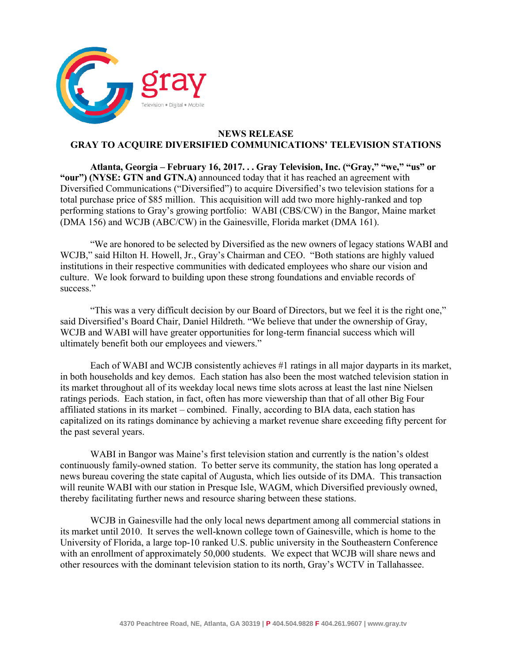

## **NEWS RELEASE GRAY TO ACQUIRE DIVERSIFIED COMMUNICATIONS' TELEVISION STATIONS**

**Atlanta, Georgia – February 16, 2017. . . Gray Television, Inc. ("Gray," "we," "us" or "our") (NYSE: GTN and GTN.A)** announced today that it has reached an agreement with Diversified Communications ("Diversified") to acquire Diversified's two television stations for a total purchase price of \$85 million. This acquisition will add two more highly-ranked and top performing stations to Gray's growing portfolio: WABI (CBS/CW) in the Bangor, Maine market (DMA 156) and WCJB (ABC/CW) in the Gainesville, Florida market (DMA 161).

"We are honored to be selected by Diversified as the new owners of legacy stations WABI and WCJB," said Hilton H. Howell, Jr., Gray's Chairman and CEO. "Both stations are highly valued institutions in their respective communities with dedicated employees who share our vision and culture. We look forward to building upon these strong foundations and enviable records of success."

"This was a very difficult decision by our Board of Directors, but we feel it is the right one," said Diversified's Board Chair, Daniel Hildreth. "We believe that under the ownership of Gray, WCJB and WABI will have greater opportunities for long-term financial success which will ultimately benefit both our employees and viewers."

Each of WABI and WCJB consistently achieves #1 ratings in all major dayparts in its market, in both households and key demos. Each station has also been the most watched television station in its market throughout all of its weekday local news time slots across at least the last nine Nielsen ratings periods. Each station, in fact, often has more viewership than that of all other Big Four affiliated stations in its market – combined. Finally, according to BIA data, each station has capitalized on its ratings dominance by achieving a market revenue share exceeding fifty percent for the past several years.

WABI in Bangor was Maine's first television station and currently is the nation's oldest continuously family-owned station. To better serve its community, the station has long operated a news bureau covering the state capital of Augusta, which lies outside of its DMA. This transaction will reunite WABI with our station in Presque Isle, WAGM, which Diversified previously owned, thereby facilitating further news and resource sharing between these stations.

WCJB in Gainesville had the only local news department among all commercial stations in its market until 2010. It serves the well-known college town of Gainesville, which is home to the University of Florida, a large top-10 ranked U.S. public university in the Southeastern Conference with an enrollment of approximately 50,000 students. We expect that WCJB will share news and other resources with the dominant television station to its north, Gray's WCTV in Tallahassee.